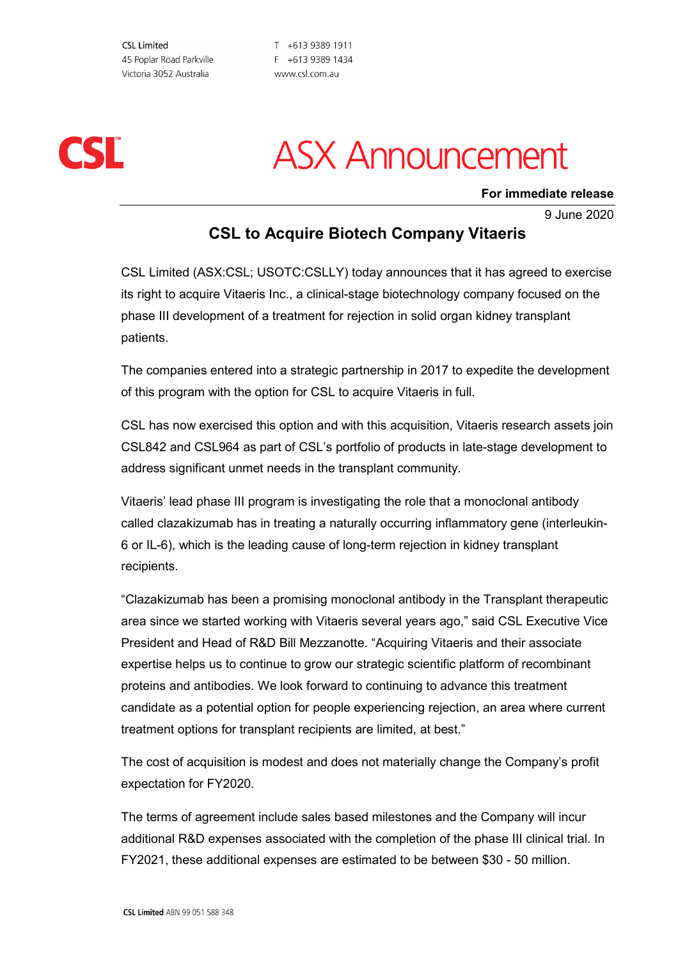**CSL Limited** 45 Poplar Road Parkville Victoria 3052 Australia

T +613 9389 1911 F +613 9389 1434 www.csl.com.au



## **ASX Announcement**

**For immediate release**

9 June 2020

### **CSL to Acquire Biotech Company Vitaeris**

CSL Limited (ASX:CSL; USOTC:CSLLY) today announces that it has agreed to exercise its right to acquire Vitaeris Inc., a clinical-stage biotechnology company focused on the phase III development of a treatment for rejection in solid organ kidney transplant patients.

The companies entered into a strategic partnership in 2017 to expedite the development of this program with the option for CSL to acquire Vitaeris in full.

CSL has now exercised this option and with this acquisition, Vitaeris research assets join CSL842 and CSL964 as part of CSL's portfolio of products in late-stage development to address significant unmet needs in the transplant community.

Vitaeris' lead phase III program is investigating the role that a monoclonal antibody called clazakizumab has in treating a naturally occurring inflammatory gene (interleukin-6 or IL-6), which is the leading cause of long-term rejection in kidney transplant recipients.

"Clazakizumab has been a promising monoclonal antibody in the Transplant therapeutic area since we started working with Vitaeris several years ago," said CSL Executive Vice President and Head of R&D Bill Mezzanotte. "Acquiring Vitaeris and their associate expertise helps us to continue to grow our strategic scientific platform of recombinant proteins and antibodies. We look forward to continuing to advance this treatment candidate as a potential option for people experiencing rejection, an area where current treatment options for transplant recipients are limited, at best."

The cost of acquisition is modest and does not materially change the Company's profit expectation for FY2020.

The terms of agreement include sales based milestones and the Company will incur additional R&D expenses associated with the completion of the phase III clinical trial. In FY2021, these additional expenses are estimated to be between \$30 - 50 million.